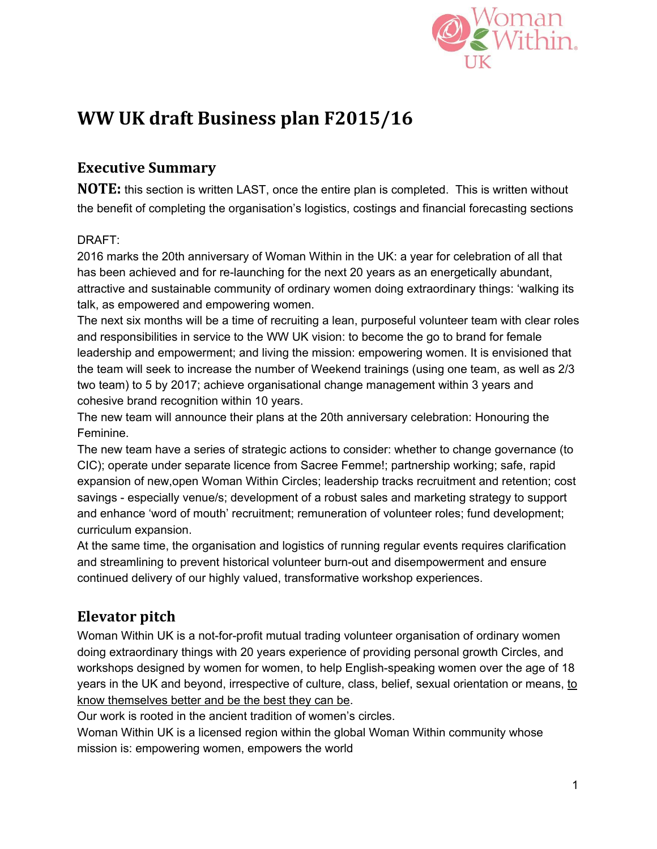

# **WW UK draft Business plan F2015/16**

## **Executive Summary**

**NOTE:** this section is written LAST, once the entire plan is completed. This is written without the benefit of completing the organisation's logistics, costings and financial forecasting sections

### DRAFT:

2016 marks the 20th anniversary of Woman Within in the UK: a year for celebration of all that has been achieved and for re-launching for the next 20 years as an energetically abundant, attractive and sustainable community of ordinary women doing extraordinary things: 'walking its talk, as empowered and empowering women.

The next six months will be a time of recruiting a lean, purposeful volunteer team with clear roles and responsibilities in service to the WW UK vision: to become the go to brand for female leadership and empowerment; and living the mission: empowering women. It is envisioned that the team will seek to increase the number of Weekend trainings (using one team, as well as 2/3 two team) to 5 by 2017; achieve organisational change management within 3 years and cohesive brand recognition within 10 years.

The new team will announce their plans at the 20th anniversary celebration: Honouring the Feminine.

The new team have a series of strategic actions to consider: whether to change governance (to CIC); operate under separate licence from Sacree Femme!; partnership working; safe, rapid expansion of new,open Woman Within Circles; leadership tracks recruitment and retention; cost savings especially venue/s; development of a robust sales and marketing strategy to support and enhance 'word of mouth' recruitment; remuneration of volunteer roles; fund development; curriculum expansion.

At the same time, the organisation and logistics of running regular events requires clarification and streamlining to prevent historical volunteer burn-out and disempowerment and ensure continued delivery of our highly valued, transformative workshop experiences.

## **Elevator pitch**

Woman Within UK is a not-for-profit mutual trading volunteer organisation of ordinary women doing extraordinary things with 20 years experience of providing personal growth Circles, and workshops designed by women for women, to help English-speaking women over the age of 18 years in the UK and beyond, irrespective of culture, class, belief, sexual orientation or means, to know themselves better and be the best they can be.

Our work is rooted in the ancient tradition of women's circles.

Woman Within UK is a licensed region within the global Woman Within community whose mission is: empowering women, empowers the world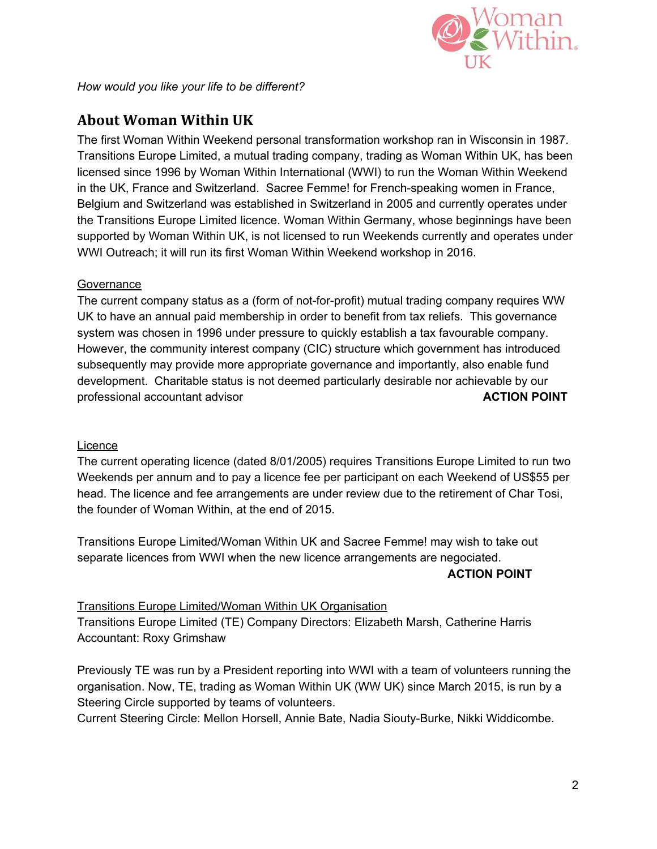

*How would you like your life to be different?*

## **About Woman Within UK**

The first Woman Within Weekend personal transformation workshop ran in Wisconsin in 1987. Transitions Europe Limited, a mutual trading company, trading as Woman Within UK, has been licensed since 1996 by Woman Within International (WWI) to run the Woman Within Weekend in the UK, France and Switzerland. Sacree Femme! for French-speaking women in France, Belgium and Switzerland was established in Switzerland in 2005 and currently operates under the Transitions Europe Limited licence. Woman Within Germany, whose beginnings have been supported by Woman Within UK, is not licensed to run Weekends currently and operates under WWI Outreach; it will run its first Woman Within Weekend workshop in 2016.

#### **Governance**

The current company status as a (form of not-for-profit) mutual trading company requires WW UK to have an annual paid membership in order to benefit from tax reliefs. This governance system was chosen in 1996 under pressure to quickly establish a tax favourable company. However, the community interest company (CIC) structure which government has introduced subsequently may provide more appropriate governance and importantly, also enable fund development. Charitable status is not deemed particularly desirable nor achievable by our professional accountant advisor **ACTION POINT**

#### **Licence**

The current operating licence (dated 8/01/2005) requires Transitions Europe Limited to run two Weekends per annum and to pay a licence fee per participant on each Weekend of US\$55 per head. The licence and fee arrangements are under review due to the retirement of Char Tosi, the founder of Woman Within, at the end of 2015.

Transitions Europe Limited/Woman Within UK and Sacree Femme! may wish to take out separate licences from WWI when the new licence arrangements are negociated.

#### **ACTION POINT**

#### Transitions Europe Limited/Woman Within UK Organisation

Transitions Europe Limited (TE) Company Directors: Elizabeth Marsh, Catherine Harris Accountant: Roxy Grimshaw

Previously TE was run by a President reporting into WWI with a team of volunteers running the organisation. Now, TE, trading as Woman Within UK (WW UK) since March 2015, is run by a Steering Circle supported by teams of volunteers.

Current Steering Circle: Mellon Horsell, Annie Bate, Nadia Siouty-Burke, Nikki Widdicombe.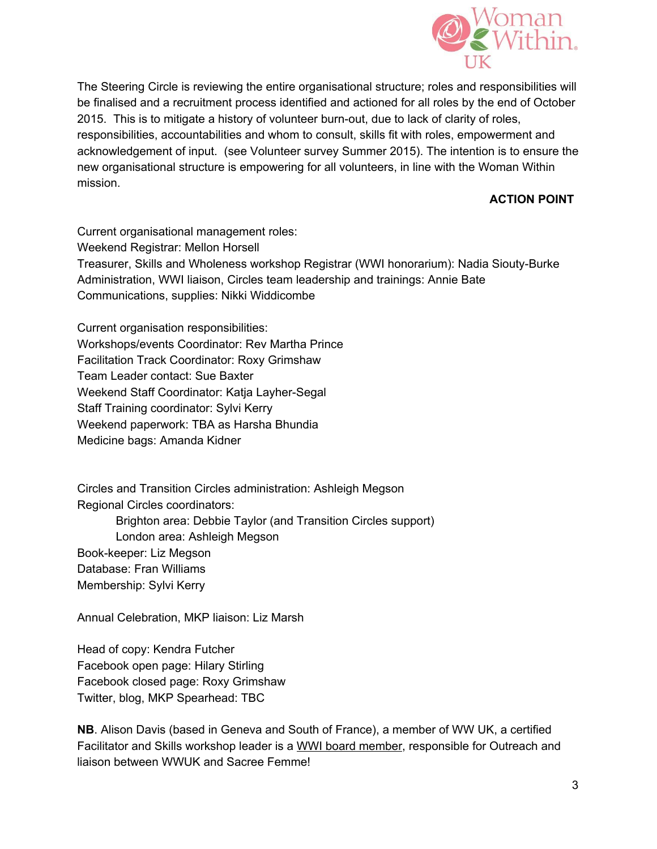

The Steering Circle is reviewing the entire organisational structure; roles and responsibilities will be finalised and a recruitment process identified and actioned for all roles by the end of October 2015. This is to mitigate a history of volunteer burn-out, due to lack of clarity of roles, responsibilities, accountabilities and whom to consult, skills fit with roles, empowerment and acknowledgement of input. (see Volunteer survey Summer 2015). The intention is to ensure the new organisational structure is empowering for all volunteers, in line with the Woman Within mission.

#### **ACTION POINT**

Current organisational management roles: Weekend Registrar: Mellon Horsell Treasurer, Skills and Wholeness workshop Registrar (WWI honorarium): Nadia Siouty-Burke Administration, WWI liaison, Circles team leadership and trainings: Annie Bate Communications, supplies: Nikki Widdicombe

Current organisation responsibilities: Workshops/events Coordinator: Rev Martha Prince Facilitation Track Coordinator: Roxy Grimshaw Team Leader contact: Sue Baxter Weekend Staff Coordinator: Katja Layher-Segal Staff Training coordinator: Sylvi Kerry Weekend paperwork: TBA as Harsha Bhundia Medicine bags: Amanda Kidner

Circles and Transition Circles administration: Ashleigh Megson Regional Circles coordinators:

Brighton area: Debbie Taylor (and Transition Circles support) London area: Ashleigh Megson Book-keeper: Liz Megson Database: Fran Williams Membership: Sylvi Kerry

Annual Celebration, MKP liaison: Liz Marsh

Head of copy: Kendra Futcher Facebook open page: Hilary Stirling Facebook closed page: Roxy Grimshaw Twitter, blog, MKP Spearhead: TBC

**NB**. Alison Davis (based in Geneva and South of France), a member of WW UK, a certified Facilitator and Skills workshop leader is a WWI board member, responsible for Outreach and liaison between WWUK and Sacree Femme!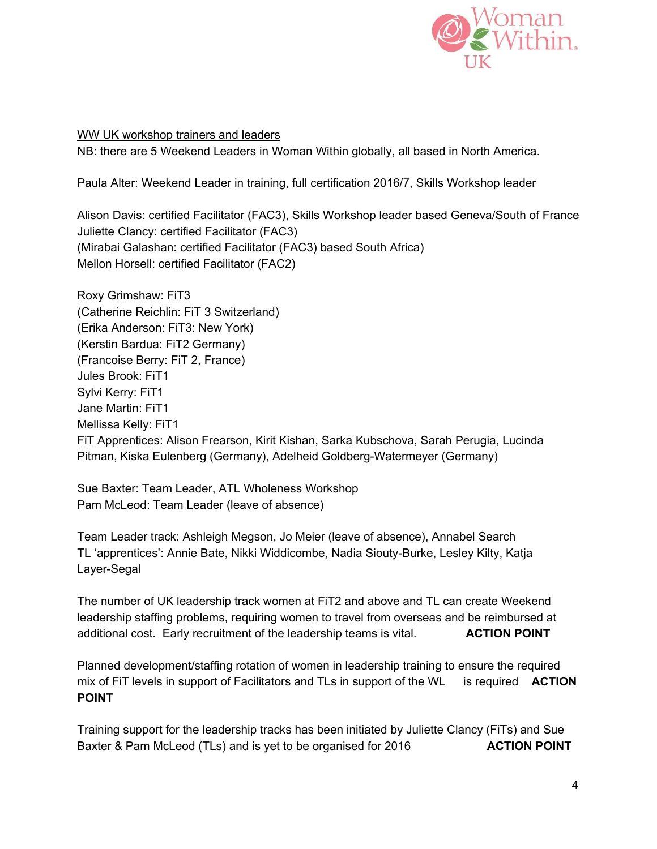

WW UK workshop trainers and leaders

NB: there are 5 Weekend Leaders in Woman Within globally, all based in North America.

Paula Alter: Weekend Leader in training, full certification 2016/7, Skills Workshop leader

Alison Davis: certified Facilitator (FAC3), Skills Workshop leader based Geneva/South of France Juliette Clancy: certified Facilitator (FAC3) (Mirabai Galashan: certified Facilitator (FAC3) based South Africa) Mellon Horsell: certified Facilitator (FAC2)

Roxy Grimshaw: FiT3 (Catherine Reichlin: FiT 3 Switzerland) (Erika Anderson: FiT3: New York) (Kerstin Bardua: FiT2 Germany) (Francoise Berry: FiT 2, France) Jules Brook: FiT1 Sylvi Kerry: FiT1 Jane Martin: FiT1 Mellissa Kelly: FiT1 FiT Apprentices: Alison Frearson, Kirit Kishan, Sarka Kubschova, Sarah Perugia, Lucinda Pitman, Kiska Eulenberg (Germany), Adelheid Goldberg-Watermeyer (Germany)

Sue Baxter: Team Leader, ATL Wholeness Workshop Pam McLeod: Team Leader (leave of absence)

Team Leader track: Ashleigh Megson, Jo Meier (leave of absence), Annabel Search TL 'apprentices': Annie Bate, Nikki Widdicombe, Nadia Siouty-Burke, Lesley Kilty, Katja Layer-Segal

The number of UK leadership track women at FiT2 and above and TL can create Weekend leadership staffing problems, requiring women to travel from overseas and be reimbursed at additional cost. Early recruitment of the leadership teams is vital. **ACTION POINT**

Planned development/staffing rotation of women in leadership training to ensure the required mix of FiT levels in support of Facilitators and TLs in support of the WL is required **ACTION POINT**

Training support for the leadership tracks has been initiated by Juliette Clancy (FiTs) and Sue Baxter & Pam McLeod (TLs) and is yet to be organised for 2016 **ACTION POINT**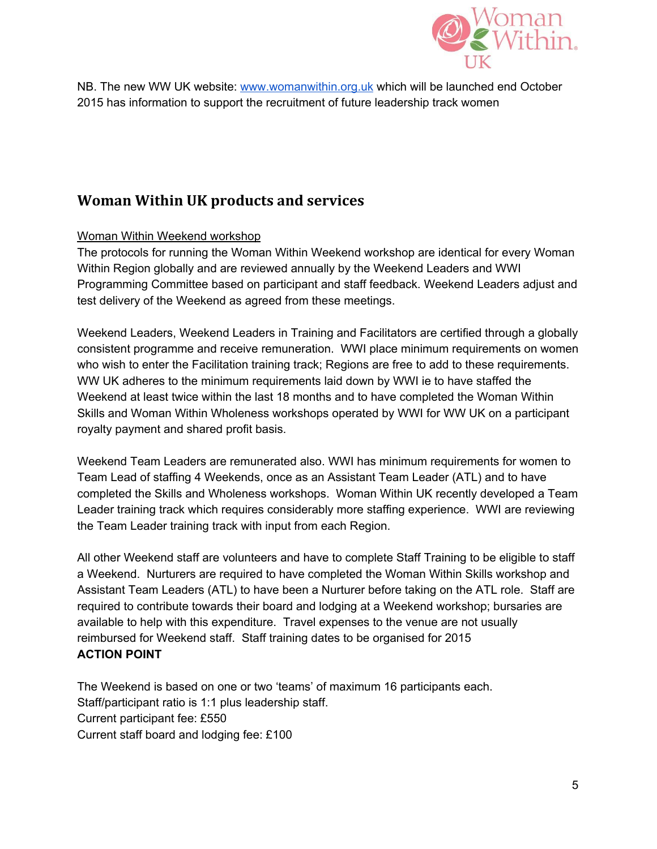

NB. The new WW UK website: [www.womanwithin.org.uk](http://www.womanwithin.org.uk/) which will be launched end October 2015 has information to support the recruitment of future leadership track women

## **Woman Within UK products and services**

#### Woman Within Weekend workshop

The protocols for running the Woman Within Weekend workshop are identical for every Woman Within Region globally and are reviewed annually by the Weekend Leaders and WWI Programming Committee based on participant and staff feedback. Weekend Leaders adjust and test delivery of the Weekend as agreed from these meetings.

Weekend Leaders, Weekend Leaders in Training and Facilitators are certified through a globally consistent programme and receive remuneration. WWI place minimum requirements on women who wish to enter the Facilitation training track; Regions are free to add to these requirements. WW UK adheres to the minimum requirements laid down by WWI ie to have staffed the Weekend at least twice within the last 18 months and to have completed the Woman Within Skills and Woman Within Wholeness workshops operated by WWI for WW UK on a participant royalty payment and shared profit basis.

Weekend Team Leaders are remunerated also. WWI has minimum requirements for women to Team Lead of staffing 4 Weekends, once as an Assistant Team Leader (ATL) and to have completed the Skills and Wholeness workshops. Woman Within UK recently developed a Team Leader training track which requires considerably more staffing experience. WWI are reviewing the Team Leader training track with input from each Region.

All other Weekend staff are volunteers and have to complete Staff Training to be eligible to staff a Weekend. Nurturers are required to have completed the Woman Within Skills workshop and Assistant Team Leaders (ATL) to have been a Nurturer before taking on the ATL role. Staff are required to contribute towards their board and lodging at a Weekend workshop; bursaries are available to help with this expenditure. Travel expenses to the venue are not usually reimbursed for Weekend staff. Staff training dates to be organised for 2015 **ACTION POINT**

The Weekend is based on one or two 'teams' of maximum 16 participants each. Staff/participant ratio is 1:1 plus leadership staff. Current participant fee: £550 Current staff board and lodging fee: £100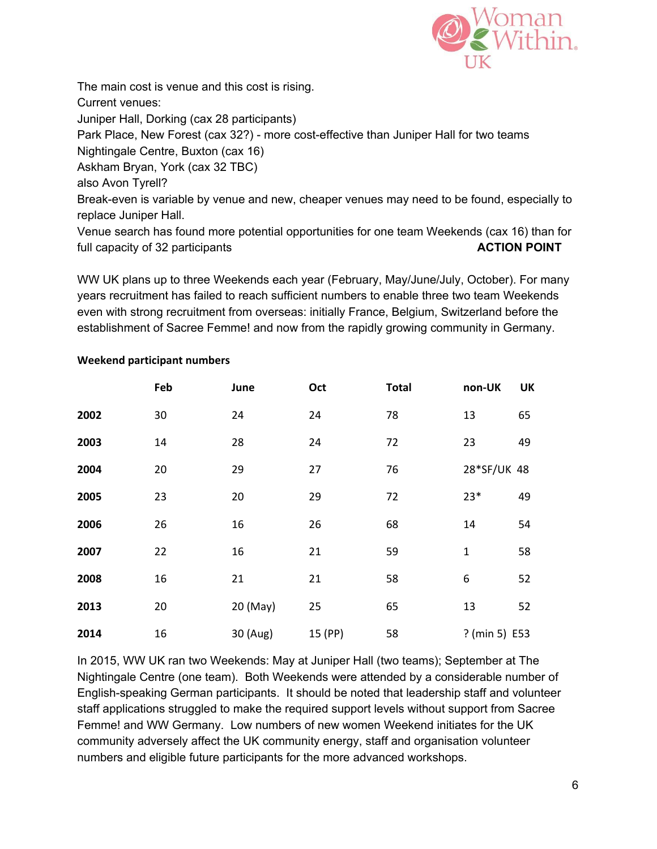

The main cost is venue and this cost is rising. Current venues: Juniper Hall, Dorking (cax 28 participants) Park Place, New Forest (cax 32?) - more cost-effective than Juniper Hall for two teams Nightingale Centre, Buxton (cax 16) Askham Bryan, York (cax 32 TBC) also Avon Tyrell? Break-even is variable by venue and new, cheaper venues may need to be found, especially to replace Juniper Hall.

Venue search has found more potential opportunities for one team Weekends (cax 16) than for full capacity of 32 participants **ACTION ACTION POINT** 

WW UK plans up to three Weekends each year (February, May/June/July, October). For many years recruitment has failed to reach sufficient numbers to enable three two team Weekends even with strong recruitment from overseas: initially France, Belgium, Switzerland before the establishment of Sacree Femme! and now from the rapidly growing community in Germany.

|      | Feb | June     | Oct     | <b>Total</b> | non-UK        | <b>UK</b> |
|------|-----|----------|---------|--------------|---------------|-----------|
| 2002 | 30  | 24       | 24      | 78           | 13            | 65        |
| 2003 | 14  | 28       | 24      | 72           | 23            | 49        |
| 2004 | 20  | 29       | 27      | 76           | 28*SF/UK 48   |           |
| 2005 | 23  | 20       | 29      | 72           | $23*$         | 49        |
| 2006 | 26  | 16       | 26      | 68           | 14            | 54        |
| 2007 | 22  | 16       | 21      | 59           | $\mathbf{1}$  | 58        |
| 2008 | 16  | 21       | 21      | 58           | 6             | 52        |
| 2013 | 20  | 20 (May) | 25      | 65           | 13            | 52        |
| 2014 | 16  | 30 (Aug) | 15 (PP) | 58           | ? (min 5) E53 |           |

#### **Weekend participant numbers**

In 2015, WW UK ran two Weekends: May at Juniper Hall (two teams); September at The Nightingale Centre (one team). Both Weekends were attended by a considerable number of English-speaking German participants. It should be noted that leadership staff and volunteer staff applications struggled to make the required support levels without support from Sacree Femme! and WW Germany. Low numbers of new women Weekend initiates for the UK community adversely affect the UK community energy, staff and organisation volunteer numbers and eligible future participants for the more advanced workshops.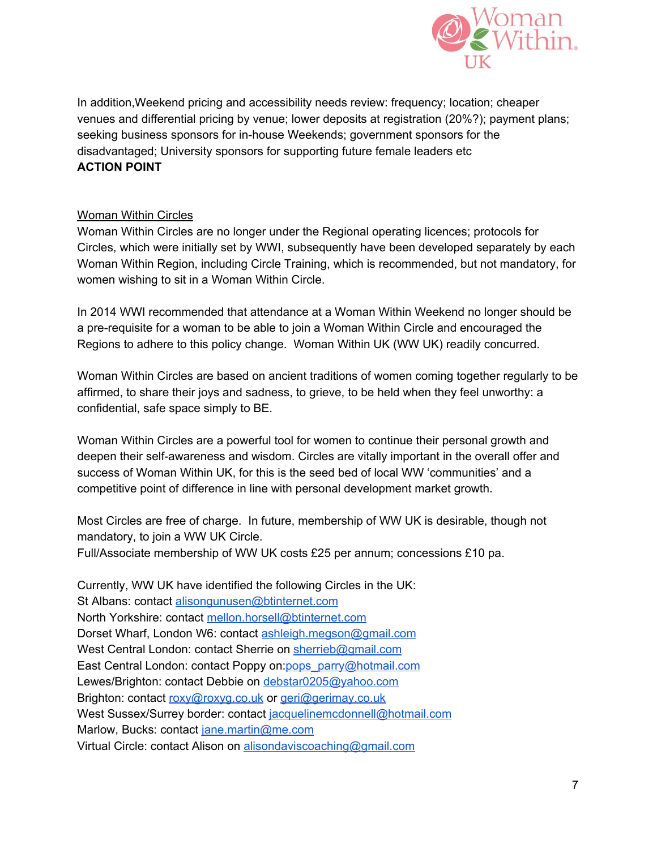

In addition,Weekend pricing and accessibility needs review: frequency; location; cheaper venues and differential pricing by venue; lower deposits at registration (20%?); payment plans; seeking business sponsors for in-house Weekends; government sponsors for the disadvantaged; University sponsors for supporting future female leaders etc **ACTION POINT**

#### Woman Within Circles

Woman Within Circles are no longer under the Regional operating licences; protocols for Circles, which were initially set by WWI, subsequently have been developed separately by each Woman Within Region, including Circle Training, which is recommended, but not mandatory, for women wishing to sit in a Woman Within Circle.

In 2014 WWI recommended that attendance at a Woman Within Weekend no longer should be a pre-requisite for a woman to be able to join a Woman Within Circle and encouraged the Regions to adhere to this policy change. Woman Within UK (WW UK) readily concurred.

Woman Within Circles are based on ancient traditions of women coming together regularly to be affirmed, to share their joys and sadness, to grieve, to be held when they feel unworthy: a confidential, safe space simply to BE.

Woman Within Circles are a powerful tool for women to continue their personal growth and deepen their self-awareness and wisdom. Circles are vitally important in the overall offer and success of Woman Within UK, for this is the seed bed of local WW 'communities' and a competitive point of difference in line with personal development market growth.

Most Circles are free of charge. In future, membership of WW UK is desirable, though not mandatory, to join a WW UK Circle. Full/Associate membership of WW UK costs £25 per annum; concessions £10 pa.

Currently, WW UK have identified the following Circles in the UK: St Albans: contact [alisongunusen@btinternet.com](mailto:alisongunusen@btinternet.com) North Yorkshire: contact [mellon.horsell@btinternet.com](mailto:mellon.horsell@btinternet.com) Dorset Wharf, London W6: contact [ashleigh.megson@gmail.com](mailto:ashleigh.megson@gmail.com) West Central London: contact Sherrie on [sherrieb@gmail.com](mailto:sherrib@gmail.com) East Central London: contact Poppy on[:pops\\_parry@hotmail.com](mailto:pops_parry@hotmail.com) Lewes/Brighton: contact Debbie on [debstar0205@yahoo.com](mailto:debstar0205@yahoo.com) Brighton: contact [roxy@roxyg.co.uk](mailto:roxy@roxyg.co.uk) or [geri@gerimay.co.uk](mailto:geri@gerimay.co.uk) West Sussex/Surrey border: contact [jacquelinemcdonnell@hotmail.com](mailto:jacquelinemcdonnell@hotmail.com) Marlow, Bucks: contact [jane.martin@me.com](mailto:jane.martin@me.com) Virtual Circle: contact Alison on [alisondaviscoaching@gmail.com](mailto:alisondaviscoaching@gmail.com)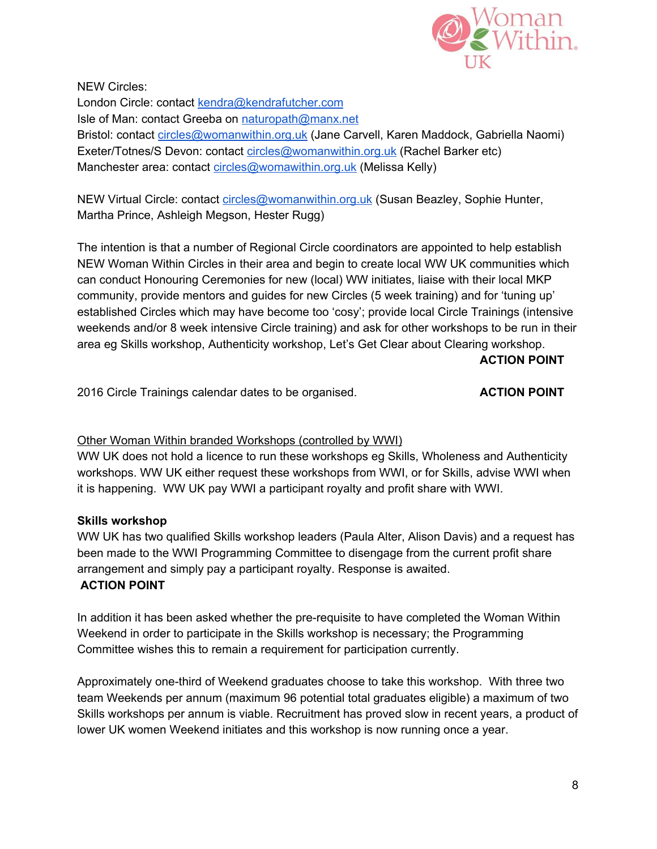

NEW Circles: London Circle: contact [kendra@kendrafutcher.com](mailto:kendra@kendrafutcher.com) Isle of Man: contact Greeba on [naturopath@manx.net](mailto:naturopath@manx.net) Bristol: contact [circles@womanwithin.org.uk](mailto:circles@womanwithin.org.uk) (Jane Carvell, Karen Maddock, Gabriella Naomi) Exeter/Totnes/S Devon: contact [circles@womanwithin.org.uk](mailto:circles@womanwithin.org.uk) (Rachel Barker etc) Manchester area: contact [circles@womawithin.org.uk](mailto:circles@womawithin.org.uk) (Melissa Kelly)

NEW Virtual Circle: contact [circles@womanwithin.org.uk](mailto:circles@womanwithin.org.uk) (Susan Beazley, Sophie Hunter, Martha Prince, Ashleigh Megson, Hester Rugg)

The intention is that a number of Regional Circle coordinators are appointed to help establish NEW Woman Within Circles in their area and begin to create local WW UK communities which can conduct Honouring Ceremonies for new (local) WW initiates, liaise with their local MKP community, provide mentors and guides for new Circles (5 week training) and for 'tuning up' established Circles which may have become too 'cosy'; provide local Circle Trainings (intensive weekends and/or 8 week intensive Circle training) and ask for other workshops to be run in their area eg Skills workshop, Authenticity workshop, Let's Get Clear about Clearing workshop.

**ACTION POINT**

2016 Circle Trainings calendar dates to be organised. **ACTION POINT**

#### Other Woman Within branded Workshops (controlled by WWI)

WW UK does not hold a licence to run these workshops eg Skills, Wholeness and Authenticity workshops. WW UK either request these workshops from WWI, or for Skills, advise WWI when it is happening. WW UK pay WWI a participant royalty and profit share with WWI.

#### **Skills workshop**

WW UK has two qualified Skills workshop leaders (Paula Alter, Alison Davis) and a request has been made to the WWI Programming Committee to disengage from the current profit share arrangement and simply pay a participant royalty. Response is awaited. **ACTION POINT**

In addition it has been asked whether the pre-requisite to have completed the Woman Within Weekend in order to participate in the Skills workshop is necessary; the Programming Committee wishes this to remain a requirement for participation currently.

Approximately one-third of Weekend graduates choose to take this workshop. With three two team Weekends per annum (maximum 96 potential total graduates eligible) a maximum of two Skills workshops per annum is viable. Recruitment has proved slow in recent years, a product of lower UK women Weekend initiates and this workshop is now running once a year.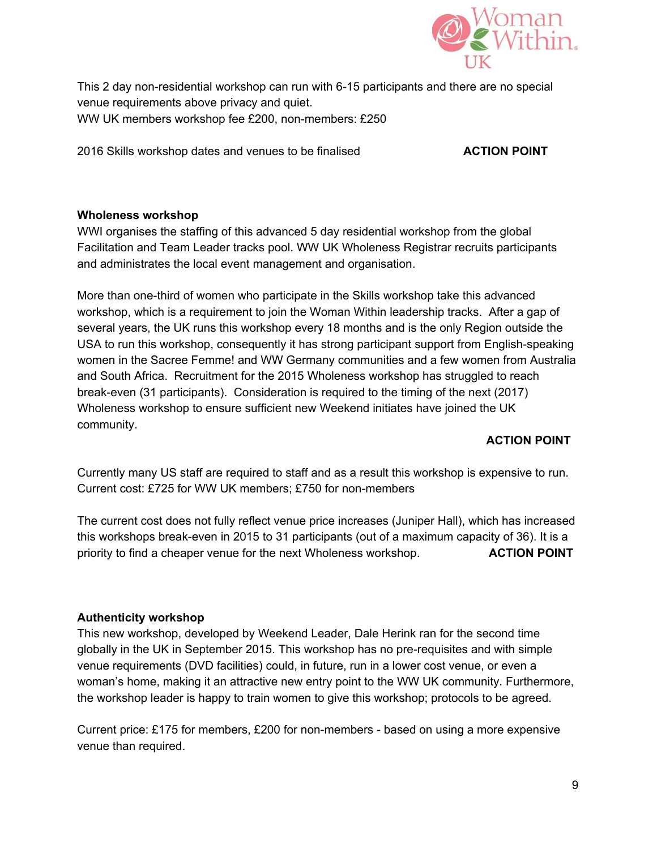

This 2 day non-residential workshop can run with 6-15 participants and there are no special venue requirements above privacy and quiet. WW UK members workshop fee £200, non-members: £250

2016 Skills workshop dates and venues to be finalised **ACTION POINT**

#### **Wholeness workshop**

WWI organises the staffing of this advanced 5 day residential workshop from the global Facilitation and Team Leader tracks pool. WW UK Wholeness Registrar recruits participants and administrates the local event management and organisation.

More than one-third of women who participate in the Skills workshop take this advanced workshop, which is a requirement to join the Woman Within leadership tracks. After a gap of several years, the UK runs this workshop every 18 months and is the only Region outside the USA to run this workshop, consequently it has strong participant support from English-speaking women in the Sacree Femme! and WW Germany communities and a few women from Australia and South Africa. Recruitment for the 2015 Wholeness workshop has struggled to reach break-even (31 participants). Consideration is required to the timing of the next (2017) Wholeness workshop to ensure sufficient new Weekend initiates have joined the UK community.

### **ACTION POINT**

Currently many US staff are required to staff and as a result this workshop is expensive to run. Current cost: £725 for WW UK members; £750 for non-members

The current cost does not fully reflect venue price increases (Juniper Hall), which has increased this workshops break-even in 2015 to 31 participants (out of a maximum capacity of 36). It is a priority to find a cheaper venue for the next Wholeness workshop. **ACTION POINT**

### **Authenticity workshop**

This new workshop, developed by Weekend Leader, Dale Herink ran for the second time globally in the UK in September 2015. This workshop has no pre-requisites and with simple venue requirements (DVD facilities) could, in future, run in a lower cost venue, or even a woman's home, making it an attractive new entry point to the WW UK community. Furthermore, the workshop leader is happy to train women to give this workshop; protocols to be agreed.

Current price: £175 for members, £200 for non-members - based on using a more expensive venue than required.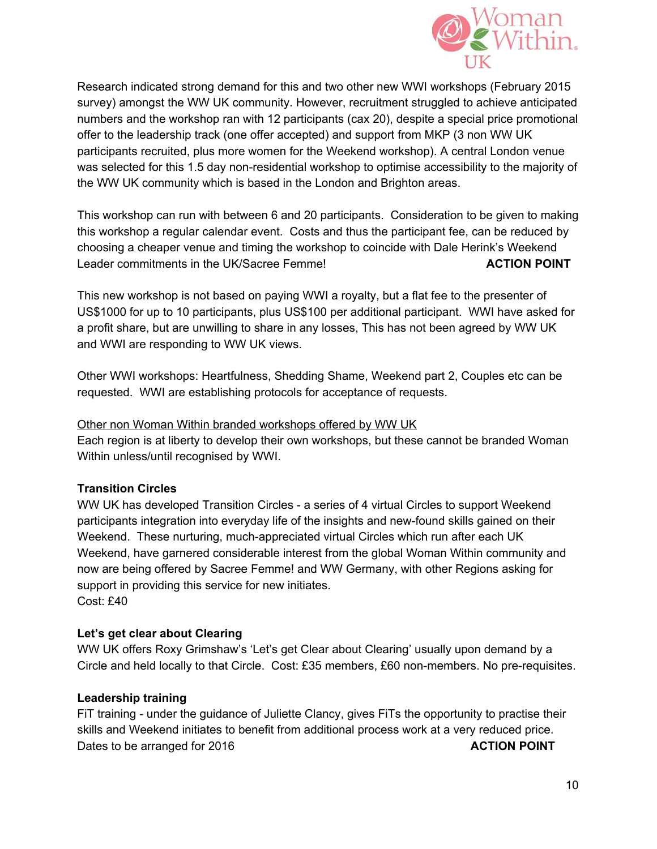

Research indicated strong demand for this and two other new WWI workshops (February 2015 survey) amongst the WW UK community. However, recruitment struggled to achieve anticipated numbers and the workshop ran with 12 participants (cax 20), despite a special price promotional offer to the leadership track (one offer accepted) and support from MKP (3 non WW UK participants recruited, plus more women for the Weekend workshop). A central London venue was selected for this 1.5 day non-residential workshop to optimise accessibility to the majority of the WW UK community which is based in the London and Brighton areas.

This workshop can run with between 6 and 20 participants. Consideration to be given to making this workshop a regular calendar event. Costs and thus the participant fee, can be reduced by choosing a cheaper venue and timing the workshop to coincide with Dale Herink's Weekend Leader commitments in the UK/Sacree Femme! **ACTION POINT**

This new workshop is not based on paying WWI a royalty, but a flat fee to the presenter of US\$1000 for up to 10 participants, plus US\$100 per additional participant. WWI have asked for a profit share, but are unwilling to share in any losses, This has not been agreed by WW UK and WWI are responding to WW UK views.

Other WWI workshops: Heartfulness, Shedding Shame, Weekend part 2, Couples etc can be requested. WWI are establishing protocols for acceptance of requests.

#### Other non Woman Within branded workshops offered by WW UK

Each region is at liberty to develop their own workshops, but these cannot be branded Woman Within unless/until recognised by WWI.

#### **Transition Circles**

WW UK has developed Transition Circles - a series of 4 virtual Circles to support Weekend participants integration into everyday life of the insights and new-found skills gained on their Weekend. These nurturing, much-appreciated virtual Circles which run after each UK Weekend, have garnered considerable interest from the global Woman Within community and now are being offered by Sacree Femme! and WW Germany, with other Regions asking for support in providing this service for new initiates. Cost: £40

#### **Let's get clear about Clearing**

WW UK offers Roxy Grimshaw's 'Let's get Clear about Clearing' usually upon demand by a Circle and held locally to that Circle. Cost: £35 members, £60 non-members. No pre-requisites.

#### **Leadership training**

FIT training - under the guidance of Juliette Clancy, gives FITs the opportunity to practise their skills and Weekend initiates to benefit from additional process work at a very reduced price. Dates to be arranged for 2016 **ACTION POINT**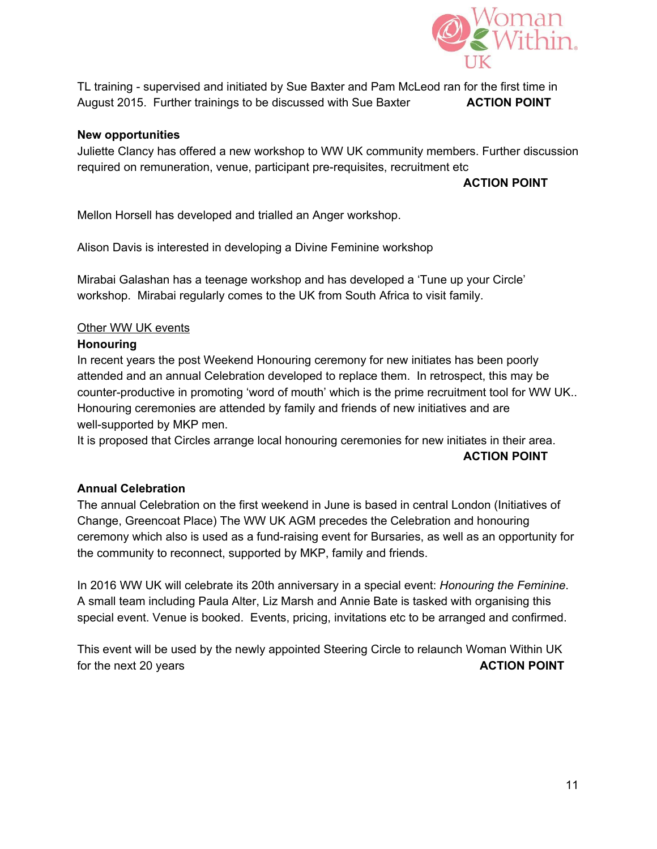

TL training - supervised and initiated by Sue Baxter and Pam McLeod ran for the first time in August 2015. Further trainings to be discussed with Sue Baxter **ACTION POINT**

#### **New opportunities**

Juliette Clancy has offered a new workshop to WW UK community members. Further discussion required on remuneration, venue, participant pre-requisites, recruitment etc

#### **ACTION POINT**

Mellon Horsell has developed and trialled an Anger workshop.

Alison Davis is interested in developing a Divine Feminine workshop

Mirabai Galashan has a teenage workshop and has developed a 'Tune up your Circle' workshop. Mirabai regularly comes to the UK from South Africa to visit family.

#### **Other WW UK events**

#### **Honouring**

In recent years the post Weekend Honouring ceremony for new initiates has been poorly attended and an annual Celebration developed to replace them. In retrospect, this may be counter-productive in promoting 'word of mouth' which is the prime recruitment tool for WW UK.. Honouring ceremonies are attended by family and friends of new initiatives and are well-supported by MKP men.

It is proposed that Circles arrange local honouring ceremonies for new initiates in their area. **ACTION POINT**

#### **Annual Celebration**

The annual Celebration on the first weekend in June is based in central London (Initiatives of Change, Greencoat Place) The WW UK AGM precedes the Celebration and honouring ceremony which also is used as a fund-raising event for Bursaries, as well as an opportunity for the community to reconnect, supported by MKP, family and friends.

In 2016 WW UK will celebrate its 20th anniversary in a special event: *Honouring the Feminine*. A small team including Paula Alter, Liz Marsh and Annie Bate is tasked with organising this special event. Venue is booked. Events, pricing, invitations etc to be arranged and confirmed.

This event will be used by the newly appointed Steering Circle to relaunch Woman Within UK for the next 20 years **ACTION POINT**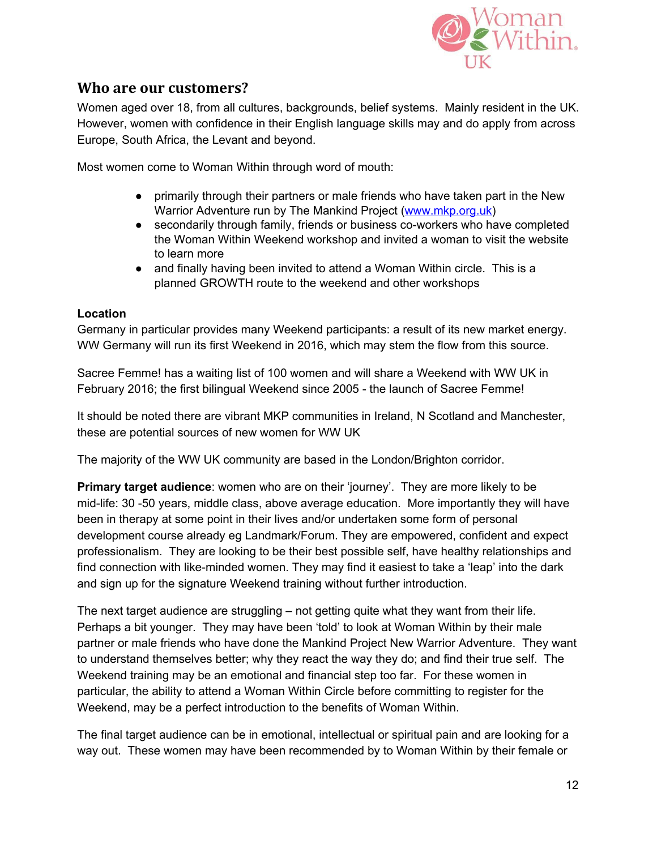

## **Who are our customers?**

Women aged over 18, from all cultures, backgrounds, belief systems. Mainly resident in the UK. However, women with confidence in their English language skills may and do apply from across Europe, South Africa, the Levant and beyond.

Most women come to Woman Within through word of mouth:

- primarily through their partners or male friends who have taken part in the New Warrior Adventure run by The Mankind Project [\(www.mkp.org.uk\)](http://www.mkp.org.uk/)
- secondarily through family, friends or business co-workers who have completed the Woman Within Weekend workshop and invited a woman to visit the website to learn more
- and finally having been invited to attend a Woman Within circle. This is a planned GROWTH route to the weekend and other workshops

### **Location**

Germany in particular provides many Weekend participants: a result of its new market energy. WW Germany will run its first Weekend in 2016, which may stem the flow from this source.

Sacree Femme! has a waiting list of 100 women and will share a Weekend with WW UK in February 2016; the first bilingual Weekend since 2005 - the launch of Sacree Femme!

It should be noted there are vibrant MKP communities in Ireland, N Scotland and Manchester, these are potential sources of new women for WW UK

The majority of the WW UK community are based in the London/Brighton corridor.

**Primary target audience**: women who are on their 'journey'. They are more likely to be mid-life: 30 -50 years, middle class, above average education. More importantly they will have been in therapy at some point in their lives and/or undertaken some form of personal development course already eg Landmark/Forum. They are empowered, confident and expect professionalism. They are looking to be their best possible self, have healthy relationships and find connection with like-minded women. They may find it easiest to take a 'leap' into the dark and sign up for the signature Weekend training without further introduction.

The next target audience are struggling – not getting quite what they want from their life. Perhaps a bit younger. They may have been 'told' to look at Woman Within by their male partner or male friends who have done the Mankind Project New Warrior Adventure. They want to understand themselves better; why they react the way they do; and find their true self. The Weekend training may be an emotional and financial step too far. For these women in particular, the ability to attend a Woman Within Circle before committing to register for the Weekend, may be a perfect introduction to the benefits of Woman Within.

The final target audience can be in emotional, intellectual or spiritual pain and are looking for a way out. These women may have been recommended by to Woman Within by their female or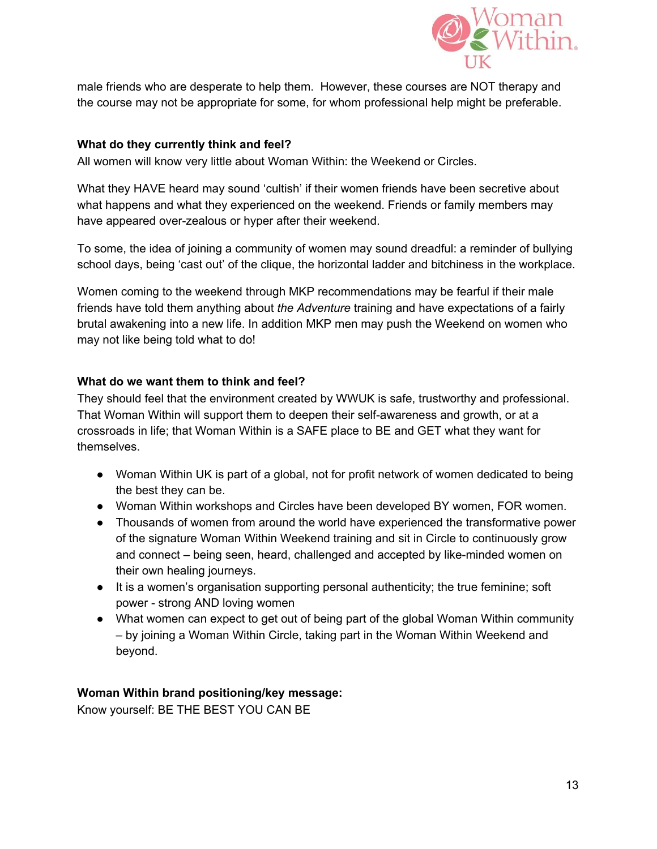

male friends who are desperate to help them. However, these courses are NOT therapy and the course may not be appropriate for some, for whom professional help might be preferable.

#### **What do they currently think and feel?**

All women will know very little about Woman Within: the Weekend or Circles.

What they HAVE heard may sound 'cultish' if their women friends have been secretive about what happens and what they experienced on the weekend. Friends or family members may have appeared over-zealous or hyper after their weekend.

To some, the idea of joining a community of women may sound dreadful: a reminder of bullying school days, being 'cast out' of the clique, the horizontal ladder and bitchiness in the workplace.

Women coming to the weekend through MKP recommendations may be fearful if their male friends have told them anything about *the Adventure* training and have expectations of a fairly brutal awakening into a new life. In addition MKP men may push the Weekend on women who may not like being told what to do!

#### **What do we want them to think and feel?**

They should feel that the environment created by WWUK is safe, trustworthy and professional. That Woman Within will support them to deepen their self-awareness and growth, or at a crossroads in life; that Woman Within is a SAFE place to BE and GET what they want for themselves.

- Woman Within UK is part of a global, not for profit network of women dedicated to being the best they can be.
- Woman Within workshops and Circles have been developed BY women, FOR women.
- Thousands of women from around the world have experienced the transformative power of the signature Woman Within Weekend training and sit in Circle to continuously grow and connect – being seen, heard, challenged and accepted by like-minded women on their own healing journeys.
- It is a women's organisation supporting personal authenticity; the true feminine; soft power - strong AND loving women
- What women can expect to get out of being part of the global Woman Within community – by joining a Woman Within Circle, taking part in the Woman Within Weekend and beyond.

### **Woman Within brand positioning/key message:**

Know yourself: BE THE BEST YOU CAN BE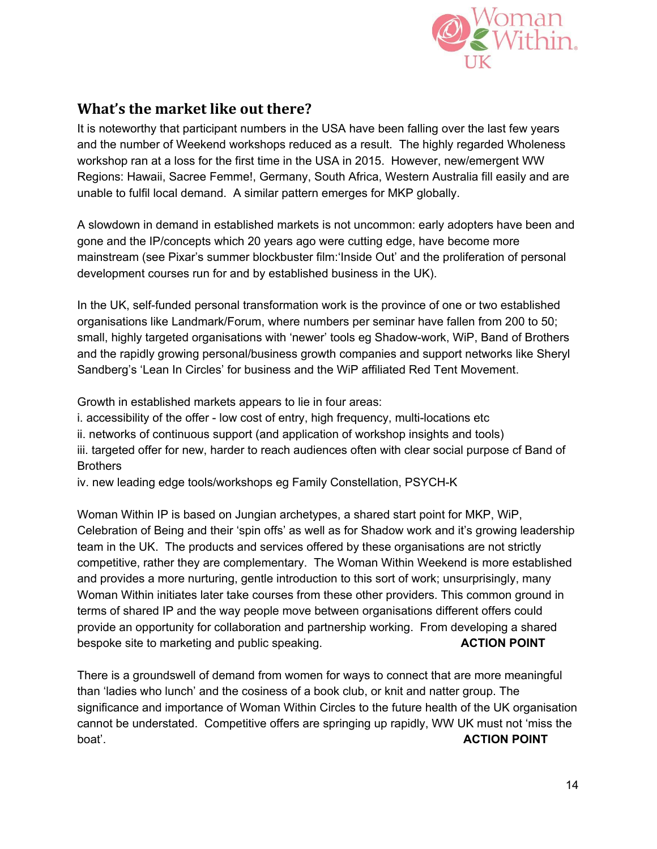

## **What's the market like out there?**

It is noteworthy that participant numbers in the USA have been falling over the last few years and the number of Weekend workshops reduced as a result. The highly regarded Wholeness workshop ran at a loss for the first time in the USA in 2015. However, new/emergent WW Regions: Hawaii, Sacree Femme!, Germany, South Africa, Western Australia fill easily and are unable to fulfil local demand. A similar pattern emerges for MKP globally.

A slowdown in demand in established markets is not uncommon: early adopters have been and gone and the IP/concepts which 20 years ago were cutting edge, have become more mainstream (see Pixar's summer blockbuster film:'Inside Out' and the proliferation of personal development courses run for and by established business in the UK).

In the UK, self-funded personal transformation work is the province of one or two established organisations like Landmark/Forum, where numbers per seminar have fallen from 200 to 50; small, highly targeted organisations with 'newer' tools eg Shadow-work, WiP, Band of Brothers and the rapidly growing personal/business growth companies and support networks like Sheryl Sandberg's 'Lean In Circles' for business and the WiP affiliated Red Tent Movement.

Growth in established markets appears to lie in four areas:

i. accessibility of the offer - low cost of entry, high frequency, multi-locations etc

ii. networks of continuous support (and application of workshop insights and tools)

iii. targeted offer for new, harder to reach audiences often with clear social purpose cf Band of **Brothers** 

iv. new leading edge tools/workshops eg Family Constellation, PSYCH-K

Woman Within IP is based on Jungian archetypes, a shared start point for MKP, WiP, Celebration of Being and their 'spin offs' as well as for Shadow work and it's growing leadership team in the UK. The products and services offered by these organisations are not strictly competitive, rather they are complementary. The Woman Within Weekend is more established and provides a more nurturing, gentle introduction to this sort of work; unsurprisingly, many Woman Within initiates later take courses from these other providers. This common ground in terms of shared IP and the way people move between organisations different offers could provide an opportunity for collaboration and partnership working. From developing a shared bespoke site to marketing and public speaking. **ACTION POINT**

There is a groundswell of demand from women for ways to connect that are more meaningful than 'ladies who lunch' and the cosiness of a book club, or knit and natter group. The significance and importance of Woman Within Circles to the future health of the UK organisation cannot be understated. Competitive offers are springing up rapidly, WW UK must not 'miss the boat'. **ACTION POINT**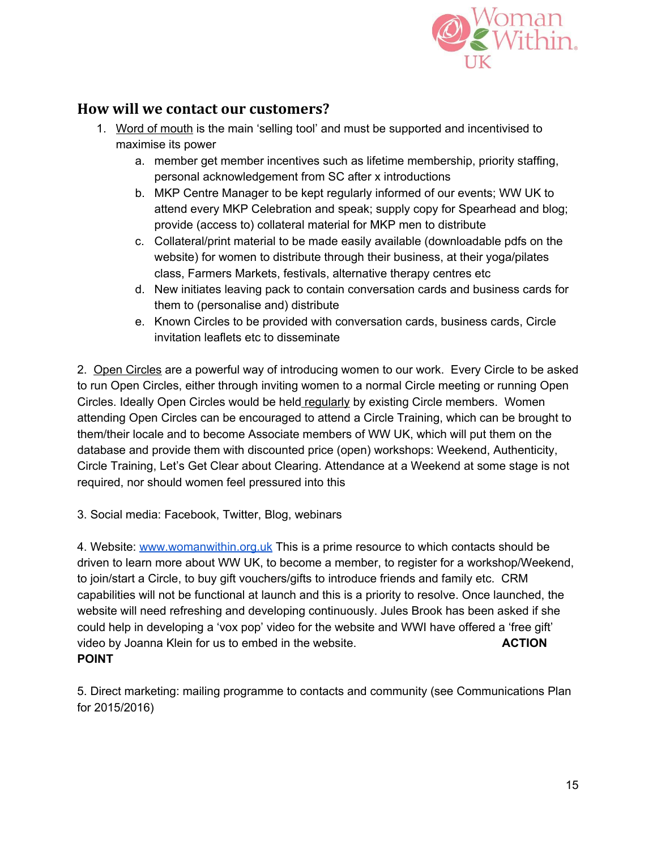

## **How will we contact our customers?**

- 1. Word of mouth is the main 'selling tool' and must be supported and incentivised to maximise its power
	- a. member get member incentives such as lifetime membership, priority staffing, personal acknowledgement from SC after x introductions
	- b. MKP Centre Manager to be kept regularly informed of our events; WW UK to attend every MKP Celebration and speak; supply copy for Spearhead and blog; provide (access to) collateral material for MKP men to distribute
	- c. Collateral/print material to be made easily available (downloadable pdfs on the website) for women to distribute through their business, at their yoga/pilates class, Farmers Markets, festivals, alternative therapy centres etc
	- d. New initiates leaving pack to contain conversation cards and business cards for them to (personalise and) distribute
	- e. Known Circles to be provided with conversation cards, business cards, Circle invitation leaflets etc to disseminate

2. Open Circles are a powerful way of introducing women to our work. Every Circle to be asked to run Open Circles, either through inviting women to a normal Circle meeting or running Open Circles. Ideally Open Circles would be held regularly by existing Circle members. Women attending Open Circles can be encouraged to attend a Circle Training, which can be brought to them/their locale and to become Associate members of WW UK, which will put them on the database and provide them with discounted price (open) workshops: Weekend, Authenticity, Circle Training, Let's Get Clear about Clearing. Attendance at a Weekend at some stage is not required, nor should women feel pressured into this

3. Social media: Facebook, Twitter, Blog, webinars

4. Website: [www.womanwithin.org.uk](http://www.womanwithin.org.uk/) This is a prime resource to which contacts should be driven to learn more about WW UK, to become a member, to register for a workshop/Weekend, to join/start a Circle, to buy gift vouchers/gifts to introduce friends and family etc. CRM capabilities will not be functional at launch and this is a priority to resolve. Once launched, the website will need refreshing and developing continuously. Jules Brook has been asked if she could help in developing a 'vox pop' video for the website and WWI have offered a 'free gift' video by Joanna Klein for us to embed in the website. **ACTION POINT**

5. Direct marketing: mailing programme to contacts and community (see Communications Plan for 2015/2016)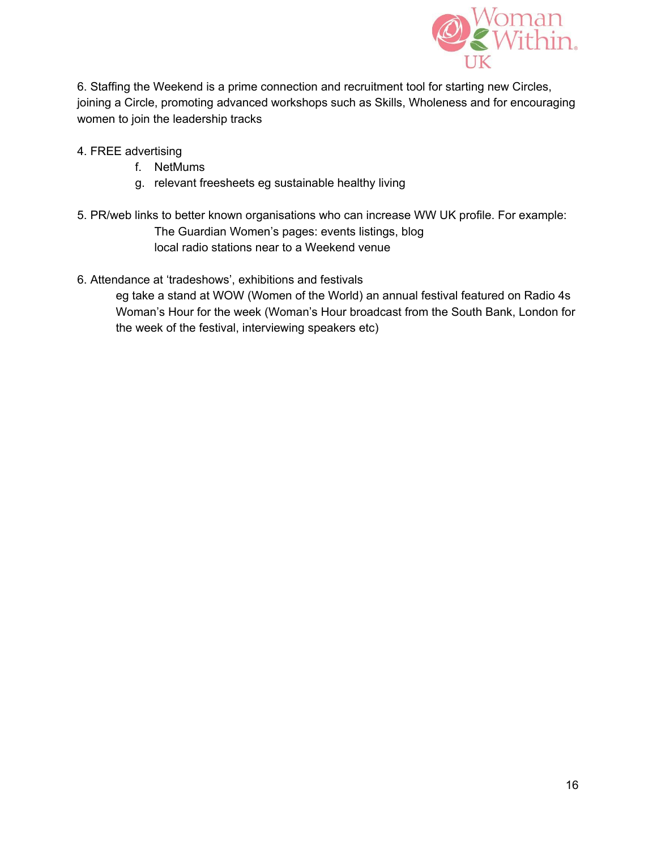

6. Staffing the Weekend is a prime connection and recruitment tool for starting new Circles, joining a Circle, promoting advanced workshops such as Skills, Wholeness and for encouraging women to join the leadership tracks

- 4. FREE advertising
	- f. NetMums
	- g. relevant freesheets eg sustainable healthy living
- 5. PR/web links to better known organisations who can increase WW UK profile. For example: The Guardian Women's pages: events listings, blog local radio stations near to a Weekend venue
- 6. Attendance at 'tradeshows', exhibitions and festivals

eg take a stand at WOW (Women of the World) an annual festival featured on Radio 4s Woman's Hour for the week (Woman's Hour broadcast from the South Bank, London for the week of the festival, interviewing speakers etc)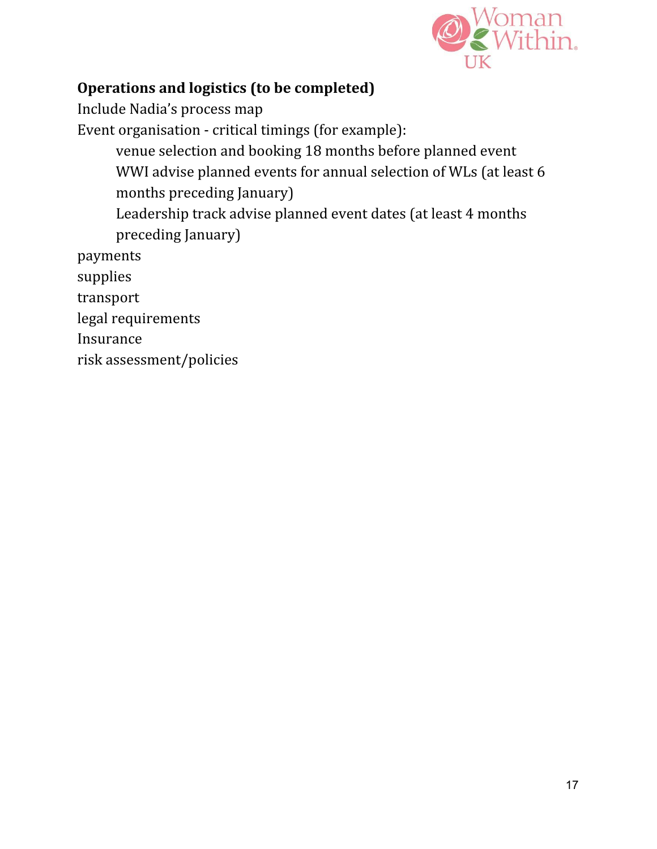

## **Operations and logistics (to be completed)**

Include Nadia's process map Event organisation - critical timings (for example): venue selection and booking 18 months before planned event WWI advise planned events for annual selection of WLs (at least 6 months preceding January) Leadership track advise planned event dates (at least 4 months preceding January) payments supplies transport legal requirements Insurance

risk assessment/policies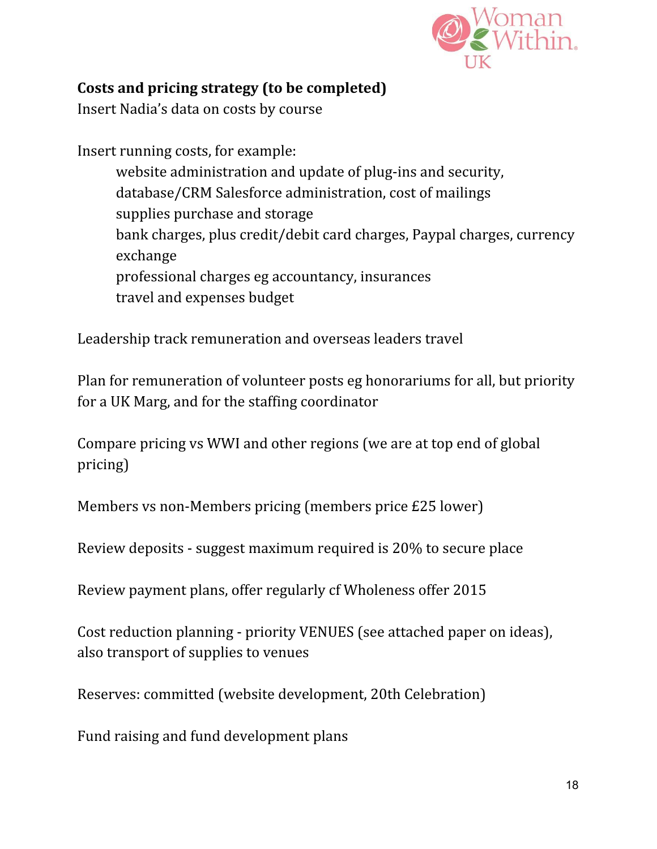

## **Costs and pricing strategy (to be completed)**

Insert Nadia's data on costs by course

Insert running costs, for example: website administration and update of plug-ins and security, database/CRM Salesforce administration, cost of mailings supplies purchase and storage bank charges, plus credit/debit card charges, Paypal charges, currency exchange professional charges eg accountancy, insurances travel and expenses budget

Leadership track remuneration and overseas leaders travel

Plan for remuneration of volunteer posts eg honorariums for all, but priority for a UK Marg, and for the staffing coordinator

Compare pricing vs WWI and other regions (we are at top end of global pricing)

Members vs non-Members pricing (members price £25 lower)

Review deposits - suggest maximum required is 20% to secure place

Review payment plans, offer regularly cf Wholeness offer 2015

Cost reduction planning - priority VENUES (see attached paper on ideas), also transport of supplies to venues

Reserves: committed (website development, 20th Celebration)

Fund raising and fund development plans